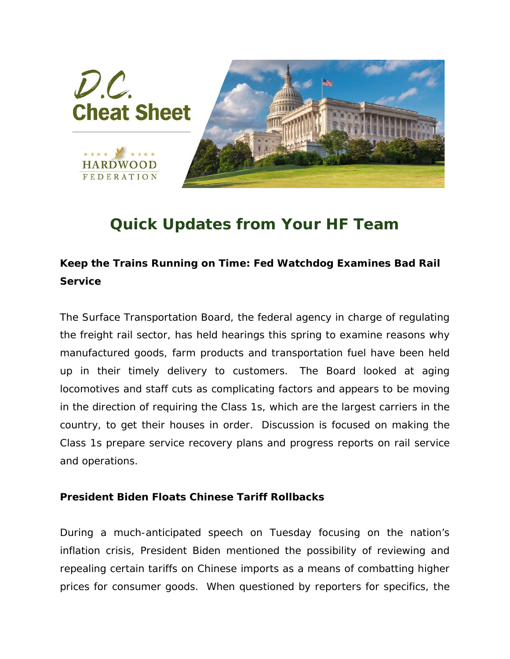

## *Quick Updates from Your HF Team*

## **Keep the Trains Running on Time: Fed Watchdog Examines Bad Rail Service**

The Surface Transportation Board, the federal agency in charge of regulating the freight rail sector, has held hearings this spring to examine reasons why manufactured goods, farm products and transportation fuel have been held up in their timely delivery to customers. The Board looked at aging locomotives and staff cuts as complicating factors and appears to be moving in the direction of requiring the Class 1s, which are the largest carriers in the country, to get their houses in order. Discussion is focused on making the Class 1s prepare service recovery plans and progress reports on rail service and operations.

## **President Biden Floats Chinese Tariff Rollbacks**

During a much-anticipated speech on Tuesday focusing on the nation's inflation crisis, President Biden mentioned the possibility of reviewing and repealing certain tariffs on Chinese imports as a means of combatting higher prices for consumer goods. When questioned by reporters for specifics, the